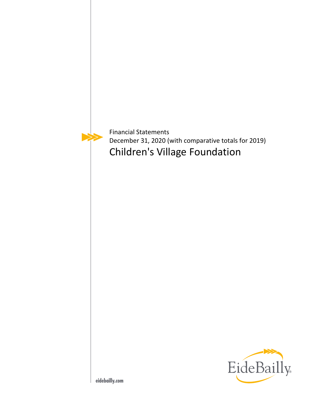

Financial Statements December 31, 2020 (with comparative totals for 2019) Children's Village Foundation

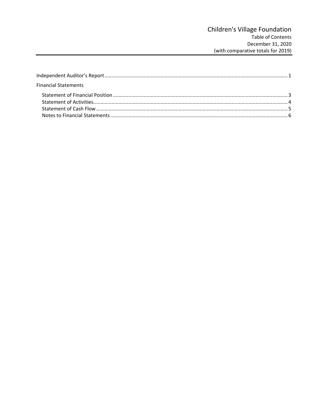| <b>Financial Statements</b> |  |
|-----------------------------|--|
|                             |  |
|                             |  |
|                             |  |
|                             |  |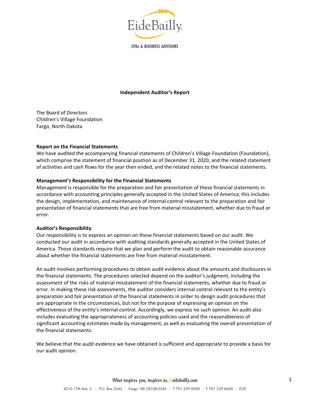

**CPAs & BUSINESS ADVISORS** 

#### **Independent Auditor's Report**

The Board of Directors Children's Village Foundation Fargo, North Dakota

#### **Report on the Financial Statements**

We have audited the accompanying financial statements of Children's Village Foundation (Foundation), which comprise the statement of financial position as of December 31, 2020, and the related statement of activities and cash flows for the year then ended, and the related notes to the financial statements.

#### **Management's Responsibility for the Financial Statements**

Management is responsible for the preparation and fair presentation of these financial statements in accordance with accounting principles generally accepted in the United States of America; this includes the design, implementation, and maintenance of internal control relevant to the preparation and fair presentation of financial statements that are free from material misstatement, whether due to fraud or error.

#### **Auditor's Responsibility**

Our responsibility is to express an opinion on these financial statements based on our audit. We conducted our audit in accordance with auditing standards generally accepted in the United States of America. Those standards require that we plan and perform the audit to obtain reasonable assurance about whether the financial statements are free from material misstatement.

An audit involves performing procedures to obtain audit evidence about the amounts and disclosures in the financial statements. The procedures selected depend on the auditor's judgment, including the assessment of the risks of material misstatement of the financial statements, whether due to fraud or error. In making those risk assessments, the auditor considers internal control relevant to the entity's preparation and fair presentation of the financial statements in order to design audit procedures that are appropriate in the circumstances, but not for the purpose of expressing an opinion on the effectiveness of the entity's internal control. Accordingly, we express no such opinion. An audit also includes evaluating the appropriateness of accounting policies used and the reasonableness of significant accounting estimates made by management, as well as evaluating the overall presentation of the financial statements.

We believe that the audit evidence we have obtained is sufficient and appropriate to provide a basis for our audit opinion.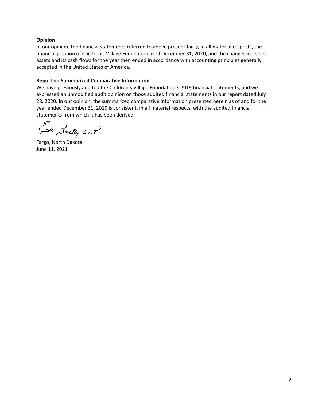## **Opinion**

In our opinion, the financial statements referred to above present fairly, in all material respects, the financial position of Children's Village Foundation as of December 31, 2020, and the changes in its net assets and its cash flows for the year then ended in accordance with accounting principles generally accepted in the United States of America.

## **Report on Summarized Comparative Information**

We have previously audited the Children's Village Foundation's 2019 financial statements, and we expressed an unmodified audit opinion on those audited financial statements in our report dated July 28, 2020. In our opinion, the summarized comparative information presented herein as of and for the year ended December 31, 2019 is consistent, in all material respects, with the audited financial statements from which it has been derived.

Gede Saelly LLP

Fargo, North Dakota June 11, 2021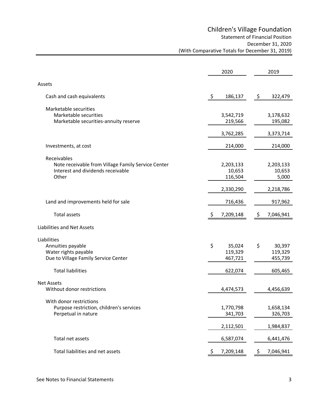|                                                    | 2020               | 2019            |
|----------------------------------------------------|--------------------|-----------------|
| Assets                                             |                    |                 |
| Cash and cash equivalents                          | $\zeta$<br>186,137 | \$<br>322,479   |
| Marketable securities                              |                    |                 |
| Marketable securities                              | 3,542,719          | 3,178,632       |
| Marketable securities-annuity reserve              | 219,566            | 195,082         |
|                                                    | 3,762,285          | 3,373,714       |
| Investments, at cost                               | 214,000            | 214,000         |
| Receivables                                        |                    |                 |
| Note receivable from Village Family Service Center | 2,203,133          | 2,203,133       |
| Interest and dividends receivable                  | 10,653             | 10,653          |
| Other                                              | 116,504            | 5,000           |
|                                                    | 2,330,290          | 2,218,786       |
| Land and improvements held for sale                | 716,436            | 917,962         |
| <b>Total assets</b>                                | -\$<br>7,209,148   | \$<br>7,046,941 |
| Liabilities and Net Assets                         |                    |                 |
| Liabilities                                        |                    |                 |
| Annuities payable                                  | \$<br>35,024       | \$<br>30,397    |
| Water rights payable                               | 119,329            | 119,329         |
| Due to Village Family Service Center               | 467,721            | 455,739         |
| <b>Total liabilities</b>                           | 622,074            | 605,465         |
| <b>Net Assets</b>                                  |                    |                 |
| Without donor restrictions                         | 4,474,573          | 4,456,639       |
| With donor restrictions                            |                    |                 |
| Purpose restriction, children's services           | 1,770,798          | 1,658,134       |
| Perpetual in nature                                | 341,703            | 326,703         |
|                                                    |                    |                 |
|                                                    | 2,112,501          | 1,984,837       |
| Total net assets                                   | 6,587,074          | 6,441,476       |
| Total liabilities and net assets                   | 7,209,148          | 7,046,941       |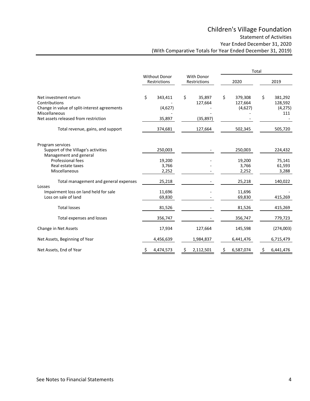# Children's Village Foundation

Statement of Activities

Year Ended December 31, 2020

(With Comparative Totals for Year Ended December 31, 2019)

|                                                                                                                                                 |                                      |                                     |                            |                                |                                     | Total |                                      |
|-------------------------------------------------------------------------------------------------------------------------------------------------|--------------------------------------|-------------------------------------|----------------------------|--------------------------------|-------------------------------------|-------|--------------------------------------|
|                                                                                                                                                 | <b>Without Donor</b><br>Restrictions |                                     | With Donor<br>Restrictions |                                | 2020                                |       | 2019                                 |
| Net investment return<br>Contributions<br>Change in value of split-interest agreements<br>Miscellaneous<br>Net assets released from restriction | \$                                   | 343,411<br>(4,627)<br>35,897        | \$                         | 35,897<br>127,664<br>(35, 897) | \$<br>379,308<br>127,664<br>(4,627) | \$    | 381,292<br>128,592<br>(4,275)<br>111 |
| Total revenue, gains, and support                                                                                                               |                                      | 374,681                             |                            | 127,664                        | 502,345                             |       | 505,720                              |
| Program services<br>Support of the Village's activities<br>Management and general<br>Professional fees<br>Real estate taxes<br>Miscellaneous    |                                      | 250,003<br>19,200<br>3,766<br>2,252 |                            |                                | 250,003<br>19,200<br>3,766<br>2,252 |       | 224,432<br>75,141<br>61,593<br>3,288 |
| Total management and general expenses<br>Losses<br>Impairment loss on land held for sale<br>Loss on sale of land                                |                                      | 25,218<br>11,696<br>69,830          |                            |                                | 25,218<br>11,696<br>69,830          |       | 140,022<br>415,269                   |
| <b>Total losses</b>                                                                                                                             |                                      | 81,526                              |                            |                                | 81,526                              |       | 415,269                              |
| Total expenses and losses                                                                                                                       |                                      | 356,747                             |                            |                                | 356,747                             |       | 779,723                              |
| Change in Net Assets                                                                                                                            |                                      | 17,934                              |                            | 127,664                        | 145,598                             |       | (274,003)                            |
| Net Assets, Beginning of Year                                                                                                                   |                                      | 4,456,639                           |                            | 1,984,837                      | 6,441,476                           |       | 6,715,479                            |
| Net Assets, End of Year                                                                                                                         | Ş.                                   | 4,474,573                           | \$.                        | 2,112,501                      | \$<br>6,587,074                     | \$    | 6,441,476                            |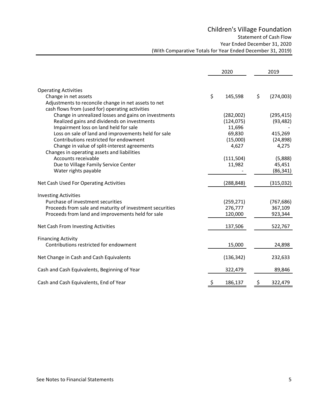# Children's Village Foundation

Statement of Cash Flow

Year Ended December 31, 2020

(With Comparative Totals for Year Ended December 31, 2019)

| 2020                                                                                                                                                                                                                                      | 2019                             |
|-------------------------------------------------------------------------------------------------------------------------------------------------------------------------------------------------------------------------------------------|----------------------------------|
| <b>Operating Activities</b><br>\$<br>\$<br>Change in net assets<br>145,598                                                                                                                                                                | (274,003)                        |
| Adjustments to reconcile change in net assets to net<br>cash flows from (used for) operating activities<br>Change in unrealized losses and gains on investments<br>(282,002)<br>Realized gains and dividends on investments<br>(124, 075) | (295, 415)<br>(93, 482)          |
| Impairment loss on land held for sale<br>11,696<br>Loss on sale of land and improvements held for sale<br>69,830                                                                                                                          | 415,269                          |
| Contributions restricted for endowment<br>(15,000)<br>Change in value of split-interest agreements<br>4,627<br>Changes in operating assets and liabilities                                                                                | (24, 898)<br>4,275               |
| Accounts receivable<br>(111,504)<br>Due to Village Family Service Center<br>11,982<br>Water rights payable                                                                                                                                | (5,888)<br>45,451<br>(86, 341)   |
| (288, 848)<br>Net Cash Used For Operating Activities                                                                                                                                                                                      | (315,032)                        |
| <b>Investing Activities</b><br>Purchase of investment securities<br>(259, 271)<br>Proceeds from sale and maturity of investment securities<br>276,777<br>Proceeds from land and improvements held for sale<br>120,000                     | (767, 686)<br>367,109<br>923,344 |
| Net Cash From Investing Activities<br>137,506                                                                                                                                                                                             | 522,767                          |
| <b>Financing Activity</b><br>Contributions restricted for endowment<br>15,000                                                                                                                                                             | 24,898                           |
| Net Change in Cash and Cash Equivalents<br>(136, 342)                                                                                                                                                                                     | 232,633                          |
| Cash and Cash Equivalents, Beginning of Year<br>322,479                                                                                                                                                                                   | 89,846                           |
| Cash and Cash Equivalents, End of Year<br>186,137                                                                                                                                                                                         | 322,479                          |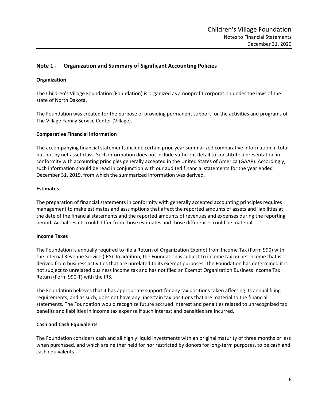# **Note 1 ‐ Organization and Summary of Significant Accounting Policies**

## **Organization**

The Children's Village Foundation (Foundation) is organized as a nonprofit corporation under the laws of the state of North Dakota.

The Foundation was created for the purpose of providing permanent support for the activities and programs of The Village Family Service Center (Village).

## **Comparative Financial Information**

The accompanying financial statements include certain prior‐year summarized comparative information in total but not by net asset class. Such information does not include sufficient detail to constitute a presentation in conformity with accounting principles generally accepted in the United States of America (GAAP). Accordingly, such information should be read in conjunction with our audited financial statements for the year ended December 31, 2019, from which the summarized information was derived.

#### **Estimates**

The preparation of financial statements in conformity with generally accepted accounting principles requires management to make estimates and assumptions that affect the reported amounts of assets and liabilities at the date of the financial statements and the reported amounts of revenues and expenses during the reporting period. Actual results could differ from those estimates and those differences could be material.

## **Income Taxes**

The Foundation is annually required to file a Return of Organization Exempt from Income Tax (Form 990) with the Internal Revenue Service (IRS). In addition, the Foundation is subject to income tax on net income that is derived from business activities that are unrelated to its exempt purposes. The Foundation has determined it is not subject to unrelated business income tax and has not filed an Exempt Organization Business Income Tax Return (Form 990‐T) with the IRS.

The Foundation believes that it has appropriate support for any tax positions taken affecting its annual filing requirements, and as such, does not have any uncertain tax positions that are material to the financial statements. The Foundation would recognize future accrued interest and penalties related to unrecognized tax benefits and liabilities in income tax expense if such interest and penalties are incurred.

## **Cash and Cash Equivalents**

The Foundation considers cash and all highly liquid investments with an original maturity of three months or less when purchased, and which are neither held for nor restricted by donors for long-term purposes, to be cash and cash equivalents.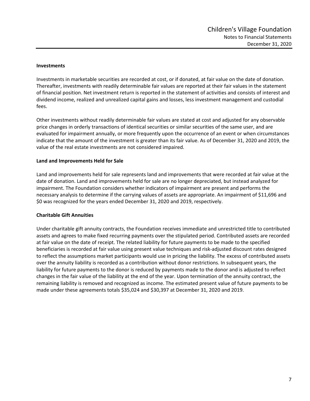## **Investments**

Investments in marketable securities are recorded at cost, or if donated, at fair value on the date of donation. Thereafter, investments with readily determinable fair values are reported at their fair values in the statement of financial position. Net investment return is reported in the statement of activities and consists of interest and dividend income, realized and unrealized capital gains and losses, less investment management and custodial fees.

Other investments without readily determinable fair values are stated at cost and adjusted for any observable price changes in orderly transactions of identical securities or similar securities of the same user, and are evaluated for impairment annually, or more frequently upon the occurrence of an event or when circumstances indicate that the amount of the investment is greater than its fair value. As of December 31, 2020 and 2019, the value of the real estate investments are not considered impaired.

## **Land and Improvements Held for Sale**

Land and improvements held for sale represents land and improvements that were recorded at fair value at the date of donation. Land and improvements held for sale are no longer depreciated, but instead analyzed for impairment. The Foundation considers whether indicators of impairment are present and performs the necessary analysis to determine if the carrying values of assets are appropriate. An impairment of \$11,696 and \$0 was recognized for the years ended December 31, 2020 and 2019, respectively.

## **Charitable Gift Annuities**

Under charitable gift annuity contracts, the Foundation receives immediate and unrestricted title to contributed assets and agrees to make fixed recurring payments over the stipulated period. Contributed assets are recorded at fair value on the date of receipt. The related liability for future payments to be made to the specified beneficiaries is recorded at fair value using present value techniques and risk‐adjusted discount rates designed to reflect the assumptions market participants would use in pricing the liability. The excess of contributed assets over the annuity liability is recorded as a contribution without donor restrictions. In subsequent years, the liability for future payments to the donor is reduced by payments made to the donor and is adjusted to reflect changes in the fair value of the liability at the end of the year. Upon termination of the annuity contract, the remaining liability is removed and recognized as income. The estimated present value of future payments to be made under these agreements totals \$35,024 and \$30,397 at December 31, 2020 and 2019.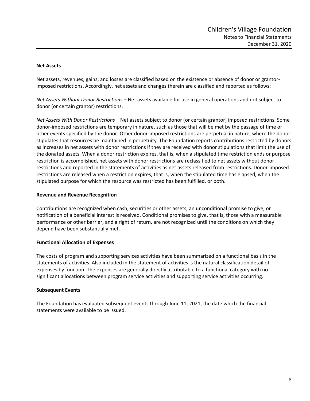#### **Net Assets**

Net assets, revenues, gains, and losses are classified based on the existence or absence of donor or grantor‐ imposed restrictions. Accordingly, net assets and changes therein are classified and reported as follows:

*Net Assets Without Donor Restrictions* – Net assets available for use in general operations and not subject to donor (or certain grantor) restrictions.

*Net Assets With Donor Restrictions* – Net assets subject to donor (or certain grantor) imposed restrictions. Some donor‐imposed restrictions are temporary in nature, such as those that will be met by the passage of time or other events specified by the donor. Other donor‐imposed restrictions are perpetual in nature, where the donor stipulates that resources be maintained in perpetuity. The Foundation reports contributions restricted by donors as increases in net assets with donor restrictions if they are received with donor stipulations that limit the use of the donated assets. When a donor restriction expires, that is, when a stipulated time restriction ends or purpose restriction is accomplished, net assets with donor restrictions are reclassified to net assets without donor restrictions and reported in the statements of activities as net assets released from restrictions. Donor‐imposed restrictions are released when a restriction expires, that is, when the stipulated time has elapsed, when the stipulated purpose for which the resource was restricted has been fulfilled, or both.

#### **Revenue and Revenue Recognition**

Contributions are recognized when cash, securities or other assets, an unconditional promise to give, or notification of a beneficial interest is received. Conditional promises to give, that is, those with a measurable performance or other barrier, and a right of return, are not recognized until the conditions on which they depend have been substantially met.

## **Functional Allocation of Expenses**

The costs of program and supporting services activities have been summarized on a functional basis in the statements of activities. Also included in the statement of activities is the natural classification detail of expenses by function. The expenses are generally directly attributable to a functional category with no significant allocations between program service activities and supporting service activities occurring.

## **Subsequent Events**

The Foundation has evaluated subsequent events through June 11, 2021, the date which the financial statements were available to be issued.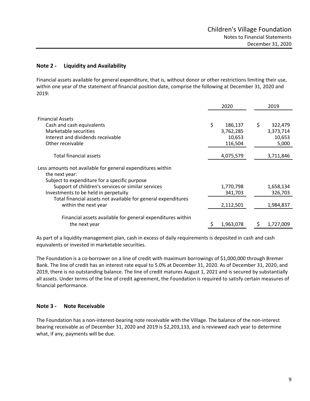# **Note 2 ‐ Liquidity and Availability**

Financial assets available for general expenditure, that is, without donor or other restrictions limiting their use, within one year of the statement of financial position date, comprise the following at December 31, 2020 and 2019:

|                                                               | 2020          | 2019          |
|---------------------------------------------------------------|---------------|---------------|
| <b>Financial Assets</b>                                       |               |               |
| Cash and cash equivalents                                     | \$<br>186,137 | \$<br>322,479 |
| Marketable securities                                         | 3,762,285     | 3,373,714     |
| Interest and dividends receivable                             | 10,653        | 10,653        |
| Other receivable                                              | 116,504       | 5,000         |
| Total financial assets                                        | 4,075,579     | 3,711,846     |
|                                                               |               |               |
| Less amounts not available for general expenditures within    |               |               |
| the next year:                                                |               |               |
| Subject to expenditure for a specific purpose                 |               |               |
| Support of children's services or similar services            | 1,770,798     | 1,658,134     |
| Investments to be held in perpetuity                          | 341,703       | 326,703       |
| Total financial assets not available for general expenditures |               |               |
| within the next year                                          | 2,112,501     | 1,984,837     |
| Financial assets available for general expenditures within    |               |               |
| the next year                                                 | 1,963,078     | 1,727,009     |
|                                                               |               |               |

As part of a liquidity management plan, cash in excess of daily requirements is deposited in cash and cash equivalents or invested in marketable securities.

The Foundation is a co-borrower on a line of credit with maximum borrowings of \$1,000,000 through Bremer Bank. The line of credit has an interest rate equal to 5.0% at December 31, 2020. As of December 31, 2020, and 2019, there is no outstanding balance. The line of credit matures August 1, 2021 and is secured by substantially all assets. Under terms of the line of credit agreement, the Foundation is required to satisfy certain measures of financial performance.

# **Note 3 ‐ Note Receivable**

The Foundation has a non-interest-bearing note receivable with the Village. The balance of the non-interest bearing receivable as of December 31, 2020 and 2019 is \$2,203,133, and is reviewed each year to determine what, if any, payments will be due.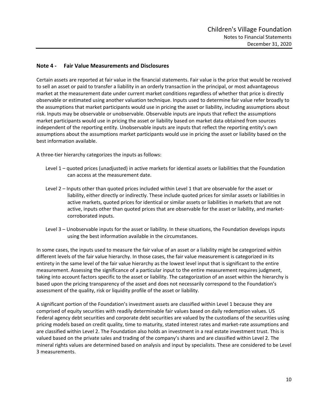## **Note 4 ‐ Fair Value Measurements and Disclosures**

Certain assets are reported at fair value in the financial statements. Fair value is the price that would be received to sell an asset or paid to transfer a liability in an orderly transaction in the principal, or most advantageous market at the measurement date under current market conditions regardless of whether that price is directly observable or estimated using another valuation technique. Inputs used to determine fair value refer broadly to the assumptions that market participants would use in pricing the asset or liability, including assumptions about risk. Inputs may be observable or unobservable. Observable inputs are inputs that reflect the assumptions market participants would use in pricing the asset or liability based on market data obtained from sources independent of the reporting entity. Unobservable inputs are inputs that reflect the reporting entity's own assumptions about the assumptions market participants would use in pricing the asset or liability based on the best information available.

A three‐tier hierarchy categorizes the inputs as follows:

- Level 1 quoted prices (unadjusted) in active markets for identical assets or liabilities that the Foundation can access at the measurement date.
- Level 2 Inputs other than quoted prices included within Level 1 that are observable for the asset or liability, either directly or indirectly. These include quoted prices for similar assets or liabilities in active markets, quoted prices for identical or similar assets or liabilities in markets that are not active, inputs other than quoted prices that are observable for the asset or liability, and market‐ corroborated inputs.
- Level 3 Unobservable inputs for the asset or liability. In these situations, the Foundation develops inputs using the best information available in the circumstances.

In some cases, the inputs used to measure the fair value of an asset or a liability might be categorized within different levels of the fair value hierarchy. In those cases, the fair value measurement is categorized in its entirety in the same level of the fair value hierarchy as the lowest level input that is significant to the entire measurement. Assessing the significance of a particular input to the entire measurement requires judgment, taking into account factors specific to the asset or liability. The categorization of an asset within the hierarchy is based upon the pricing transparency of the asset and does not necessarily correspond to the Foundation's assessment of the quality, risk or liquidity profile of the asset or liability.

A significant portion of the Foundation's investment assets are classified within Level 1 because they are comprised of equity securities with readily determinable fair values based on daily redemption values. US Federal agency debt securities and corporate debt securities are valued by the custodians of the securities using pricing models based on credit quality, time to maturity, stated interest rates and market‐rate assumptions and are classified within Level 2. The Foundation also holds an investment in a real estate investment trust. This is valued based on the private sales and trading of the company's shares and are classified within Level 2. The mineral rights values are determined based on analysis and input by specialists. These are considered to be Level 3 measurements.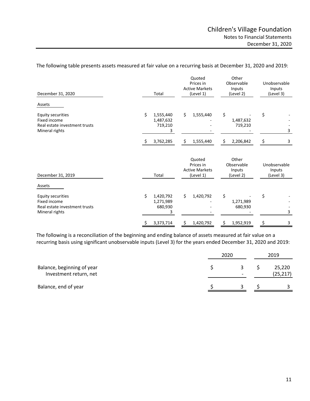| December 31, 2020                                                                           | Total                                        | Quoted<br>Prices in<br><b>Active Markets</b><br>(Level 1) | Other<br>Observable<br>Inputs<br>(Level 2) | Unobservable<br>Inputs<br>(Level 3) |
|---------------------------------------------------------------------------------------------|----------------------------------------------|-----------------------------------------------------------|--------------------------------------------|-------------------------------------|
| Assets                                                                                      |                                              |                                                           |                                            |                                     |
| <b>Equity securities</b><br>Fixed income<br>Real estate investment trusts<br>Mineral rights | \$<br>1,555,440<br>1,487,632<br>719,210<br>3 | Ś.<br>1,555,440                                           | \$<br>1,487,632<br>719,210                 | \$<br>3                             |
|                                                                                             | 3,762,285                                    | \$<br>1,555,440                                           | \$<br>2,206,842                            | \$<br>3                             |
| December 31, 2019                                                                           | Total                                        | Quoted<br>Prices in<br><b>Active Markets</b><br>(Level 1) | Other<br>Observable<br>Inputs<br>(Level 2) | Unobservable<br>Inputs<br>(Level 3) |
| Assets                                                                                      |                                              |                                                           |                                            |                                     |
| Equity securities<br>Fixed income<br>Real estate investment trusts<br>Mineral rights        | \$<br>1,420,792<br>1,271,989<br>680,930<br>3 | \$<br>1,420,792                                           | \$<br>1,271,989<br>680,930                 | \$<br>3                             |
|                                                                                             | 3,373,714<br>Ş                               | 1,420,792<br>\$                                           | \$<br>1,952,919                            | \$<br>3                             |

The following table presents assets measured at fair value on a recurring basis at December 31, 2020 and 2019:

The following is a reconciliation of the beginning and ending balance of assets measured at fair value on a recurring basis using significant unobservable inputs (Level 3) for the years ended December 31, 2020 and 2019:

|                                                      | 2020 |                               |  | 2019                |  |
|------------------------------------------------------|------|-------------------------------|--|---------------------|--|
| Balance, beginning of year<br>Investment return, net |      | 3<br>$\overline{\phantom{0}}$ |  | 25,220<br>(25, 217) |  |
| Balance, end of year                                 |      |                               |  |                     |  |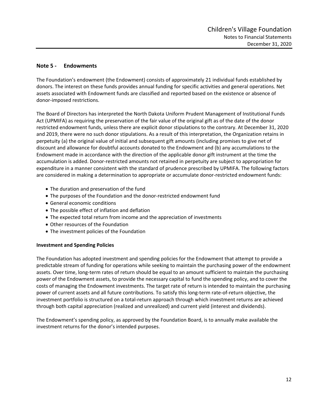# **Note 5 ‐ Endowments**

The Foundation's endowment (the Endowment) consists of approximately 21 individual funds established by donors. The interest on these funds provides annual funding for specific activities and general operations. Net assets associated with Endowment funds are classified and reported based on the existence or absence of donor‐imposed restrictions.

The Board of Directors has interpreted the North Dakota Uniform Prudent Management of Institutional Funds Act (UPMIFA) as requiring the preservation of the fair value of the original gift as of the date of the donor restricted endowment funds, unless there are explicit donor stipulations to the contrary. At December 31, 2020 and 2019, there were no such donor stipulations. As a result of this interpretation, the Organization retains in perpetuity (a) the original value of initial and subsequent gift amounts (including promises to give net of discount and allowance for doubtful accounts donated to the Endowment and (b) any accumulations to the Endowment made in accordance with the direction of the applicable donor gift instrument at the time the accumulation is added. Donor‐restricted amounts not retained in perpetuity are subject to appropriation for expenditure in a manner consistent with the standard of prudence prescribed by UPMIFA. The following factors are considered in making a determination to appropriate or accumulate donor-restricted endowment funds:

- The duration and preservation of the fund
- The purposes of the Foundation and the donor-restricted endowment fund
- General economic conditions
- The possible effect of inflation and deflation
- The expected total return from income and the appreciation of investments
- Other resources of the Foundation
- The investment policies of the Foundation

## **Investment and Spending Policies**

The Foundation has adopted investment and spending policies for the Endowment that attempt to provide a predictable stream of funding for operations while seeking to maintain the purchasing power of the endowment assets. Over time, long-term rates of return should be equal to an amount sufficient to maintain the purchasing power of the Endowment assets, to provide the necessary capital to fund the spending policy, and to cover the costs of managing the Endowment investments. The target rate of return is intended to maintain the purchasing power of current assets and all future contributions. To satisfy this long-term rate-of-return objective, the investment portfolio is structured on a total‐return approach through which investment returns are achieved through both capital appreciation (realized and unrealized) and current yield (interest and dividends).

The Endowment's spending policy, as approved by the Foundation Board, is to annually make available the investment returns for the donor's intended purposes.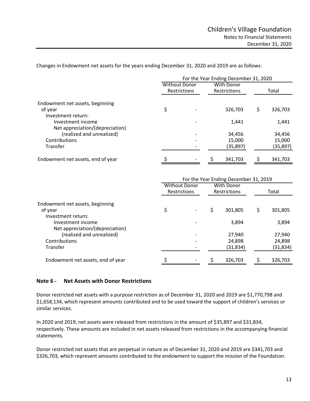Changes in Endowment net assets for the years ending December 31, 2020 and 2019 are as follows:

|                                   | For the Year Ending December 31, 2020 |              |  |                                   |    |          |
|-----------------------------------|---------------------------------------|--------------|--|-----------------------------------|----|----------|
|                                   | <b>Without Donor</b>                  | Restrictions |  | <b>With Donor</b><br>Restrictions |    | Total    |
| Endowment net assets, beginning   |                                       |              |  |                                   |    |          |
| of year                           | \$                                    |              |  | 326,703                           | \$ | 326,703  |
| Investment return:                |                                       |              |  |                                   |    |          |
| Investment income                 |                                       |              |  | 1,441                             |    | 1,441    |
| Net appreciation/(depreciation)   |                                       |              |  |                                   |    |          |
| (realized and unrealized)         |                                       |              |  | 34,456                            |    | 34,456   |
| Contributions                     |                                       |              |  | 15,000                            |    | 15,000   |
| Transfer                          |                                       |              |  | (35,897)                          |    | (35,897) |
| Endowment net assets, end of year |                                       |              |  | 341,703                           |    | 341,703  |

|                                   | For the Year Ending December 31, 2019 |                      |   |                                   |    |           |
|-----------------------------------|---------------------------------------|----------------------|---|-----------------------------------|----|-----------|
|                                   | <b>Restrictions</b>                   | <b>Without Donor</b> |   | With Donor<br><b>Restrictions</b> |    | Total     |
| Endowment net assets, beginning   |                                       |                      |   |                                   |    |           |
| of year                           | \$                                    |                      | Ś | 301.805                           | \$ | 301,805   |
| Investment return:                |                                       |                      |   |                                   |    |           |
| Investment income                 |                                       |                      |   | 3,894                             |    | 3,894     |
| Net appreciation/(depreciation)   |                                       |                      |   |                                   |    |           |
| (realized and unrealized)         |                                       |                      |   | 27,940                            |    | 27,940    |
| Contributions                     |                                       |                      |   | 24,898                            |    | 24,898    |
| Transfer                          |                                       |                      |   | (31, 834)                         |    | (31, 834) |
| Endowment net assets, end of year |                                       |                      |   | 326,703                           |    | 326,703   |

## **Note 6 ‐ Net Assets with Donor Restrictions**

Donor restricted net assets with a purpose restriction as of December 31, 2020 and 2019 are \$1,770,798 and \$1,658,134, which represent amounts contributed and to be used toward the support of children's services or similar services.

In 2020 and 2019, net assets were released from restrictions in the amount of \$35,897 and \$31,834, respectively. These amounts are included in net assets released from restrictions in the accompanying financial statements.

Donor restricted net assets that are perpetual in nature as of December 31, 2020 and 2019 are \$341,703 and \$326,703, which represent amounts contributed to the endowment to support the mission of the Foundation.